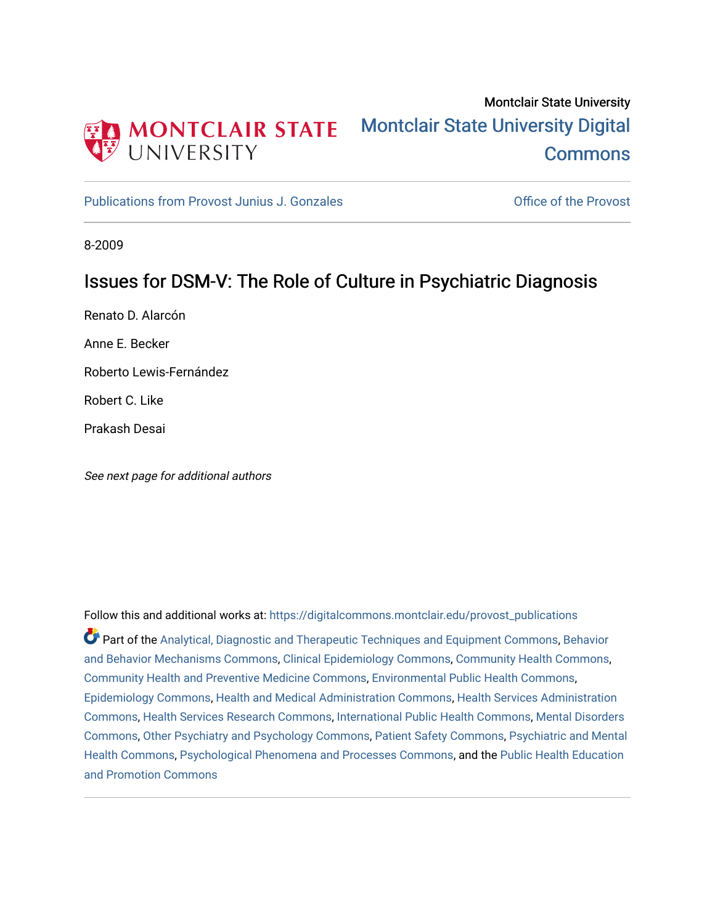

# Montclair State University [Montclair State University Digital](https://digitalcommons.montclair.edu/)  **Commons**

[Publications from Provost Junius J. Gonzales](https://digitalcommons.montclair.edu/provost_publications) **Constanting Constanting Constanting Constanting Constanting Constanting Constanting Constanting Constanting Constanting Constanting Constanting Constanting Constanting Constant** 

8-2009

### Issues for DSM-V: The Role of Culture in Psychiatric Diagnosis

Renato D. Alarcón

Anne E. Becker

Roberto Lewis-Fernández

Robert C. Like

Prakash Desai

See next page for additional authors

Follow this and additional works at: [https://digitalcommons.montclair.edu/provost\\_publications](https://digitalcommons.montclair.edu/provost_publications?utm_source=digitalcommons.montclair.edu%2Fprovost_publications%2F5&utm_medium=PDF&utm_campaign=PDFCoverPages)  Part of the [Analytical, Diagnostic and Therapeutic Techniques and Equipment Commons](http://network.bepress.com/hgg/discipline/899?utm_source=digitalcommons.montclair.edu%2Fprovost_publications%2F5&utm_medium=PDF&utm_campaign=PDFCoverPages), [Behavior](http://network.bepress.com/hgg/discipline/963?utm_source=digitalcommons.montclair.edu%2Fprovost_publications%2F5&utm_medium=PDF&utm_campaign=PDFCoverPages) [and Behavior Mechanisms Commons](http://network.bepress.com/hgg/discipline/963?utm_source=digitalcommons.montclair.edu%2Fprovost_publications%2F5&utm_medium=PDF&utm_campaign=PDFCoverPages), [Clinical Epidemiology Commons](http://network.bepress.com/hgg/discipline/815?utm_source=digitalcommons.montclair.edu%2Fprovost_publications%2F5&utm_medium=PDF&utm_campaign=PDFCoverPages), [Community Health Commons,](http://network.bepress.com/hgg/discipline/714?utm_source=digitalcommons.montclair.edu%2Fprovost_publications%2F5&utm_medium=PDF&utm_campaign=PDFCoverPages) [Community Health and Preventive Medicine Commons](http://network.bepress.com/hgg/discipline/744?utm_source=digitalcommons.montclair.edu%2Fprovost_publications%2F5&utm_medium=PDF&utm_campaign=PDFCoverPages), [Environmental Public Health Commons](http://network.bepress.com/hgg/discipline/739?utm_source=digitalcommons.montclair.edu%2Fprovost_publications%2F5&utm_medium=PDF&utm_campaign=PDFCoverPages), [Epidemiology Commons,](http://network.bepress.com/hgg/discipline/740?utm_source=digitalcommons.montclair.edu%2Fprovost_publications%2F5&utm_medium=PDF&utm_campaign=PDFCoverPages) [Health and Medical Administration Commons](http://network.bepress.com/hgg/discipline/663?utm_source=digitalcommons.montclair.edu%2Fprovost_publications%2F5&utm_medium=PDF&utm_campaign=PDFCoverPages), [Health Services Administration](http://network.bepress.com/hgg/discipline/747?utm_source=digitalcommons.montclair.edu%2Fprovost_publications%2F5&utm_medium=PDF&utm_campaign=PDFCoverPages)  [Commons](http://network.bepress.com/hgg/discipline/747?utm_source=digitalcommons.montclair.edu%2Fprovost_publications%2F5&utm_medium=PDF&utm_campaign=PDFCoverPages), [Health Services Research Commons](http://network.bepress.com/hgg/discipline/816?utm_source=digitalcommons.montclair.edu%2Fprovost_publications%2F5&utm_medium=PDF&utm_campaign=PDFCoverPages), [International Public Health Commons,](http://network.bepress.com/hgg/discipline/746?utm_source=digitalcommons.montclair.edu%2Fprovost_publications%2F5&utm_medium=PDF&utm_campaign=PDFCoverPages) [Mental Disorders](http://network.bepress.com/hgg/discipline/968?utm_source=digitalcommons.montclair.edu%2Fprovost_publications%2F5&utm_medium=PDF&utm_campaign=PDFCoverPages)  [Commons](http://network.bepress.com/hgg/discipline/968?utm_source=digitalcommons.montclair.edu%2Fprovost_publications%2F5&utm_medium=PDF&utm_campaign=PDFCoverPages), [Other Psychiatry and Psychology Commons,](http://network.bepress.com/hgg/discipline/992?utm_source=digitalcommons.montclair.edu%2Fprovost_publications%2F5&utm_medium=PDF&utm_campaign=PDFCoverPages) [Patient Safety Commons,](http://network.bepress.com/hgg/discipline/1410?utm_source=digitalcommons.montclair.edu%2Fprovost_publications%2F5&utm_medium=PDF&utm_campaign=PDFCoverPages) [Psychiatric and Mental](http://network.bepress.com/hgg/discipline/711?utm_source=digitalcommons.montclair.edu%2Fprovost_publications%2F5&utm_medium=PDF&utm_campaign=PDFCoverPages) [Health Commons,](http://network.bepress.com/hgg/discipline/711?utm_source=digitalcommons.montclair.edu%2Fprovost_publications%2F5&utm_medium=PDF&utm_campaign=PDFCoverPages) [Psychological Phenomena and Processes Commons,](http://network.bepress.com/hgg/discipline/914?utm_source=digitalcommons.montclair.edu%2Fprovost_publications%2F5&utm_medium=PDF&utm_campaign=PDFCoverPages) and the [Public Health Education](http://network.bepress.com/hgg/discipline/743?utm_source=digitalcommons.montclair.edu%2Fprovost_publications%2F5&utm_medium=PDF&utm_campaign=PDFCoverPages) [and Promotion Commons](http://network.bepress.com/hgg/discipline/743?utm_source=digitalcommons.montclair.edu%2Fprovost_publications%2F5&utm_medium=PDF&utm_campaign=PDFCoverPages)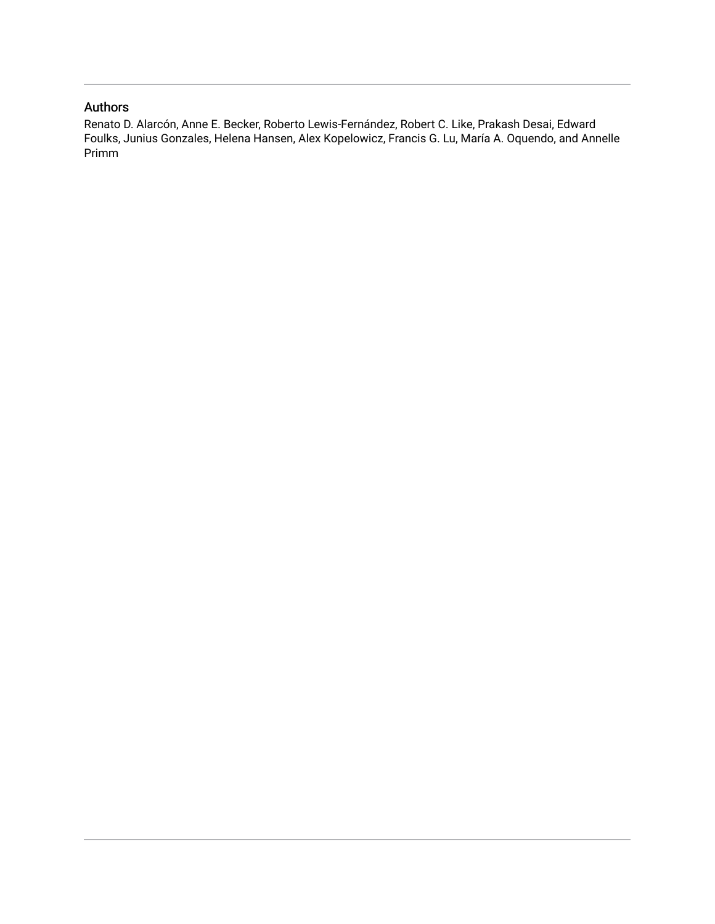### Authors

Renato D. Alarcón, Anne E. Becker, Roberto Lewis-Fernández, Robert C. Like, Prakash Desai, Edward Foulks, Junius Gonzales, Helena Hansen, Alex Kopelowicz, Francis G. Lu, María A. Oquendo, and Annelle Primm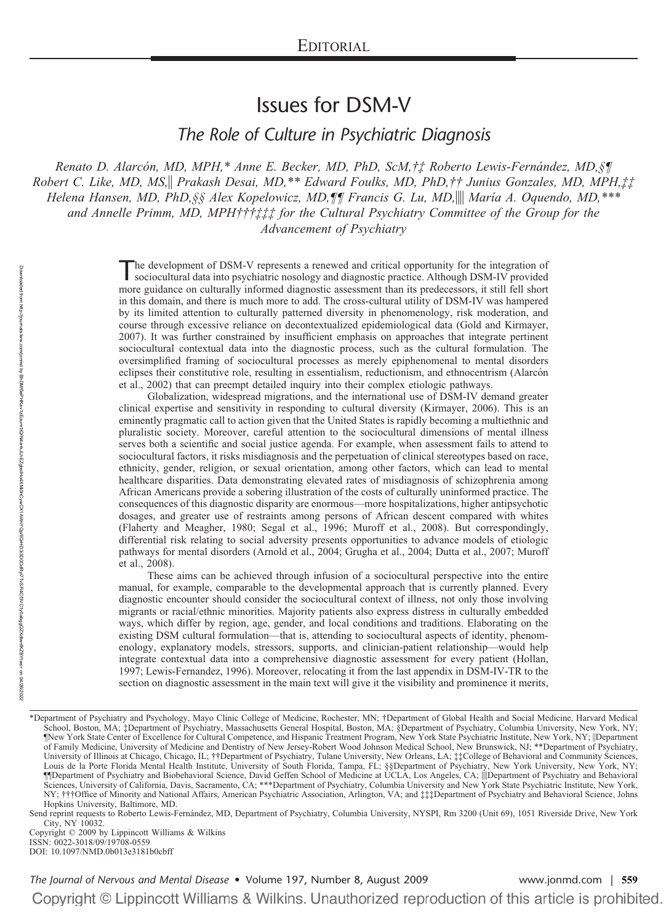## Issues for DSM-V

*The Role of Culture in Psychiatric Diagnosis*

*Renato D. Alarco´n, MD, MPH,\* Anne E. Becker, MD, PhD, ScM,†‡ Roberto Lewis-Ferna´ndez, MD,§¶ Robert C. Like, MD, MS, Prakash Desai, MD,\*\* Edward Foulks, MD, PhD,†† Junius Gonzales, MD, MPH,‡‡ Helena Hansen, MD, PhD,§§ Alex Kopelowicz, MD,¶¶ Francis G. Lu, MD, María A. Oquendo, MD,\*\*\* and Annelle Primm, MD, MPH†††‡‡‡ for the Cultural Psychiatry Committee of the Group for the Advancement of Psychiatry*

> The development of DSM-V represents a renewed and critical opportunity for the integration of sociocultural data into psychiatric nosology and diagnostic practice. Although DSM-IV provided more guidance on culturally informed diagnostic assessment than its predecessors, it still fell short in this domain, and there is much more to add. The cross-cultural utility of DSM-IV was hampered by its limited attention to culturally patterned diversity in phenomenology, risk moderation, and course through excessive reliance on decontextualized epidemiological data (Gold and Kirmayer, 2007). It was further constrained by insufficient emphasis on approaches that integrate pertinent sociocultural contextual data into the diagnostic process, such as the cultural formulation. The oversimplified framing of sociocultural processes as merely epiphenomenal to mental disorders eclipses their constitutive role, resulting in essentialism, reductionism, and ethnocentrism (Alarcón et al., 2002) that can preempt detailed inquiry into their complex etiologic pathways.

> Globalization, widespread migrations, and the international use of DSM-IV demand greater clinical expertise and sensitivity in responding to cultural diversity (Kirmayer, 2006). This is an eminently pragmatic call to action given that the United States is rapidly becoming a multiethnic and pluralistic society. Moreover, careful attention to the sociocultural dimensions of mental illness serves both a scientific and social justice agenda. For example, when assessment fails to attend to sociocultural factors, it risks misdiagnosis and the perpetuation of clinical stereotypes based on race, ethnicity, gender, religion, or sexual orientation, among other factors, which can lead to mental healthcare disparities. Data demonstrating elevated rates of misdiagnosis of schizophrenia among African Americans provide a sobering illustration of the costs of culturally uninformed practice. The consequences of this diagnostic disparity are enormous—more hospitalizations, higher antipsychotic dosages, and greater use of restraints among persons of African descent compared with whites (Flaherty and Meagher, 1980; Segal et al., 1996; Muroff et al., 2008). But correspondingly, differential risk relating to social adversity presents opportunities to advance models of etiologic pathways for mental disorders (Arnold et al., 2004; Grugha et al., 2004; Dutta et al., 2007; Muroff et al., 2008).

> These aims can be achieved through infusion of a sociocultural perspective into the entire manual, for example, comparable to the developmental approach that is currently planned. Every diagnostic encounter should consider the sociocultural context of illness, not only those involving migrants or racial/ethnic minorities. Majority patients also express distress in culturally embedded ways, which differ by region, age, gender, and local conditions and traditions. Elaborating on the existing DSM cultural formulation—that is, attending to sociocultural aspects of identity, phenomenology, explanatory models, stressors, supports, and clinician-patient relationship—would help integrate contextual data into a comprehensive diagnostic assessment for every patient (Hollan, 1997; Lewis-Fernandez, 1996). Moreover, relocating it from the last appendix in DSM-IV-TR to the section on diagnostic assessment in the main text will give it the visibility and prominence it merits,

<sup>\*</sup>Department of Psychiatry and Psychology, Mayo Clinic College of Medicine, Rochester, MN; †Department of Global Health and Social Medicine, Harvard Medical School, Boston, MA; ‡Department of Psychiatry, Massachusetts General Hospital, Boston, MA; §Department of Psychiatry, Columbia University, New York, NY; ¶New York State Center of Excellence for Cultural Competence, and Hispanic Treatment Program, New York State Psychiatric Institute, New York, NY; Department of Family Medicine, University of Medicine and Dentistry of New Jersey-Robert Wood Johnson Medical School, New Brunswick, NJ; \*\*Department of Psychiatry, University of Illinois at Chicago, Chicago, IL; ††Department of Psychiatry, Tulane University, New Orleans, LA; ‡‡College of Behavioral and Community Sciences, Louis de la Porte Florida Mental Health Institute, University of South Florida, Tampa, FL; §§Department of Psychiatry, New York University, New York, NY; ¶¶Department of Psychiatry and Biobehavioral Science, David Geffen School of Medicine at UCLA, Los Angeles, CA; Department of Psychiatry and Behavioral Sciences, University of California, Davis, Sacramento, CA; \*\*\*Department of Psychiatry, Columbia University and New York State Psychiatric Institute, New York, NY; †††Office of Minority and National Affairs, American Psychiatric Association, Arlington, VA; and ‡‡‡Department of Psychiatry and Behavioral Science, Johns Hopkins University, Baltimore, MD.

Send reprint requests to Roberto Lewis-Fernández, MD, Department of Psychiatry, Columbia University, NYSPI, Rm 3200 (Unit 69), 1051 Riverside Drive, New York City, NY 10032.

Copyright © 2009 by Lippincott Williams & Wilkins ISSN: 0022-3018/09/19708-0559 DOI: 10.1097/NMD.0b013e3181b0cbff